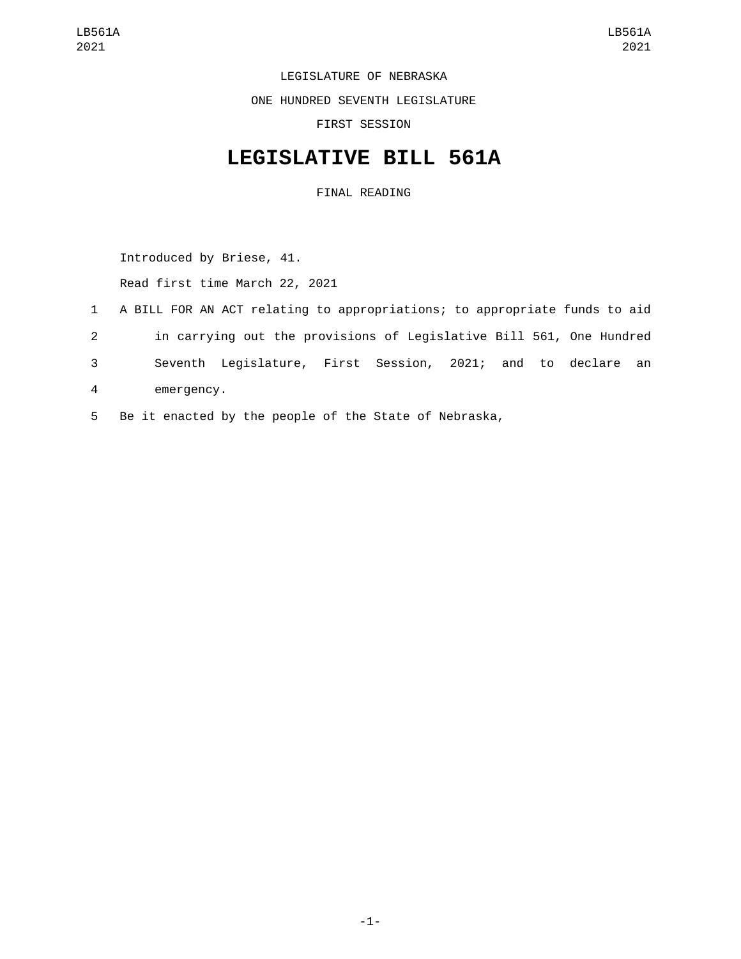LEGISLATURE OF NEBRASKA

ONE HUNDRED SEVENTH LEGISLATURE

FIRST SESSION

## **LEGISLATIVE BILL 561A**

FINAL READING

Introduced by Briese, 41.

Read first time March 22, 2021

- 1 A BILL FOR AN ACT relating to appropriations; to appropriate funds to aid 2 in carrying out the provisions of Legislative Bill 561, One Hundred 3 Seventh Legislature, First Session, 2021; and to declare an emergency.4
- 5 Be it enacted by the people of the State of Nebraska,